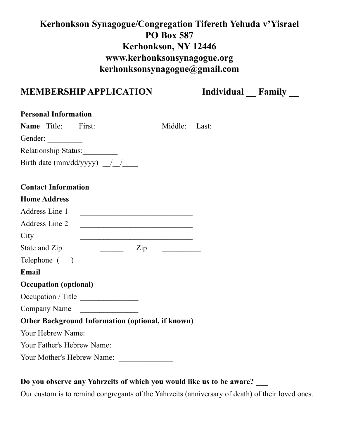# **Kerhonkson Synagogue/Congregation Tifereth Yehuda v'Yisrael PO Box 587 Kerhonkson, NY 12446 www.kerhonksonsynagogue.org kerhonksonsynagogue@gmail.com**

# **MEMBERSHIP APPLICATION** Individual Family

| <b>Personal Information</b>                                                                                                                                                                                                                                                                                                                                                                                                                                                                                                                                                                                                                                                                                                                                                                                                                                                     |
|---------------------------------------------------------------------------------------------------------------------------------------------------------------------------------------------------------------------------------------------------------------------------------------------------------------------------------------------------------------------------------------------------------------------------------------------------------------------------------------------------------------------------------------------------------------------------------------------------------------------------------------------------------------------------------------------------------------------------------------------------------------------------------------------------------------------------------------------------------------------------------|
| Name $Title:$ First:<br>Middle: Last:                                                                                                                                                                                                                                                                                                                                                                                                                                                                                                                                                                                                                                                                                                                                                                                                                                           |
| Gender:                                                                                                                                                                                                                                                                                                                                                                                                                                                                                                                                                                                                                                                                                                                                                                                                                                                                         |
| Relationship Status:                                                                                                                                                                                                                                                                                                                                                                                                                                                                                                                                                                                                                                                                                                                                                                                                                                                            |
| Birth date (mm/dd/yyyy) $\frac{1}{\sqrt{2}}$                                                                                                                                                                                                                                                                                                                                                                                                                                                                                                                                                                                                                                                                                                                                                                                                                                    |
|                                                                                                                                                                                                                                                                                                                                                                                                                                                                                                                                                                                                                                                                                                                                                                                                                                                                                 |
| <b>Contact Information</b>                                                                                                                                                                                                                                                                                                                                                                                                                                                                                                                                                                                                                                                                                                                                                                                                                                                      |
| <b>Home Address</b>                                                                                                                                                                                                                                                                                                                                                                                                                                                                                                                                                                                                                                                                                                                                                                                                                                                             |
| Address Line 1                                                                                                                                                                                                                                                                                                                                                                                                                                                                                                                                                                                                                                                                                                                                                                                                                                                                  |
| Address Line 2<br><u> 1989 - Johann John Stone, market fransk politiker (d. 1989)</u>                                                                                                                                                                                                                                                                                                                                                                                                                                                                                                                                                                                                                                                                                                                                                                                           |
| City<br><u> 1990 - Johann John Barn, mars ar breithinn ar breithinn an t-</u>                                                                                                                                                                                                                                                                                                                                                                                                                                                                                                                                                                                                                                                                                                                                                                                                   |
| $\frac{1}{\sqrt{2}}$ $\frac{1}{\sqrt{2}}$ $\frac{1}{\sqrt{2}}$ $\frac{1}{\sqrt{2}}$ $\frac{1}{\sqrt{2}}$ $\frac{1}{\sqrt{2}}$ $\frac{1}{\sqrt{2}}$ $\frac{1}{\sqrt{2}}$ $\frac{1}{\sqrt{2}}$ $\frac{1}{\sqrt{2}}$ $\frac{1}{\sqrt{2}}$ $\frac{1}{\sqrt{2}}$ $\frac{1}{\sqrt{2}}$ $\frac{1}{\sqrt{2}}$ $\frac{1}{\sqrt{2}}$ $\frac{1}{\sqrt{2}}$ $\frac{1}{\sqrt{2}}$<br>State and Zip<br>$\begin{array}{cccccccccc} \multicolumn{2}{c}{} & \multicolumn{2}{c}{} & \multicolumn{2}{c}{} & \multicolumn{2}{c}{} & \multicolumn{2}{c}{} & \multicolumn{2}{c}{} & \multicolumn{2}{c}{} & \multicolumn{2}{c}{} & \multicolumn{2}{c}{} & \multicolumn{2}{c}{} & \multicolumn{2}{c}{} & \multicolumn{2}{c}{} & \multicolumn{2}{c}{} & \multicolumn{2}{c}{} & \multicolumn{2}{c}{} & \multicolumn{2}{c}{} & \multicolumn{2}{c}{} & \multicolumn{2}{c}{} & \multicolumn{2}{c}{} & \mult$ |
|                                                                                                                                                                                                                                                                                                                                                                                                                                                                                                                                                                                                                                                                                                                                                                                                                                                                                 |
| <b>Email</b><br><u> 2002 - Johann Johann Johann Johann Johann Johann Johann Johann Johann Johann Johann Johann Johann Johann Johann Johann Johann Johann Johann Johann Johann Johann Johann Johann Johann Johann Johann Johann Johann Johann Joh</u>                                                                                                                                                                                                                                                                                                                                                                                                                                                                                                                                                                                                                            |
| <b>Occupation (optional)</b>                                                                                                                                                                                                                                                                                                                                                                                                                                                                                                                                                                                                                                                                                                                                                                                                                                                    |
| Occupation / Title                                                                                                                                                                                                                                                                                                                                                                                                                                                                                                                                                                                                                                                                                                                                                                                                                                                              |
| <b>Company Name</b>                                                                                                                                                                                                                                                                                                                                                                                                                                                                                                                                                                                                                                                                                                                                                                                                                                                             |
| <b>Other Background Information (optional, if known)</b>                                                                                                                                                                                                                                                                                                                                                                                                                                                                                                                                                                                                                                                                                                                                                                                                                        |
| Your Hebrew Name:                                                                                                                                                                                                                                                                                                                                                                                                                                                                                                                                                                                                                                                                                                                                                                                                                                                               |
| Your Father's Hebrew Name:                                                                                                                                                                                                                                                                                                                                                                                                                                                                                                                                                                                                                                                                                                                                                                                                                                                      |
| Your Mother's Hebrew Name:                                                                                                                                                                                                                                                                                                                                                                                                                                                                                                                                                                                                                                                                                                                                                                                                                                                      |

### **Do you observe any Yahrzeits of which you would like us to be aware? \_\_\_**

Our custom is to remind congregants of the Yahrzeits (anniversary of death) of their loved ones.